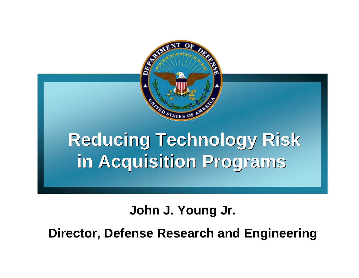

# **Reducing Technology Risk Reducing Technology Risk in Acquisition Programs in Acquisition Programs**

#### **John J. Young Jr.**

**Director, Defense Research and Engineering**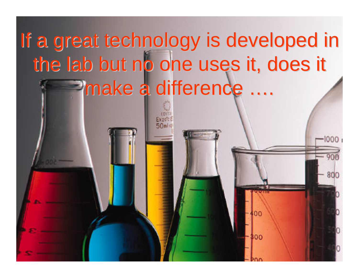# If a great technology is developed in the lab but no one uses it, does it make a difference ....

800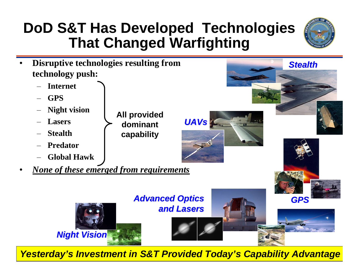### **DoD S&T Has Developed Technologies That Changed Warfighting**



*Stealth Stealth*

- • **Disruptive technologies resulting from technology push:**
	- –**Internet**
	- –**GPS**
	- –**Night vision**
	- **Lasers**
	- –**Stealth**

•

- –**Predator**
- **Global Hawk**
- *None of these emerged from requirements*



*UAVs*

*Yesterday's Investment in S&T Provided Today's Capability Advantage*

**All provided dominant capability**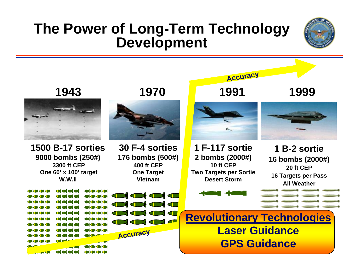#### **The Power of Long-Term Technology Development**



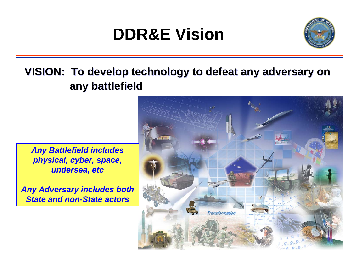# **DDR&E Vision**



#### **VISION: To develop technology to defeat any adversary on VISION: To develop technology to defeat any adversary on any battlefield any battlefield**

*Any Battlefield includes physical, cyber, space, undersea, etc* 

*Any Adversary includes both State and non-State actors*

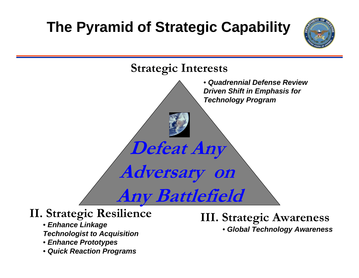# **The Pyramid of Strategic Capability**





- *Enhance Linkage Technologist to Acquisition*
- *Enhance Prototypes*
- *Quick Reaction Programs*

**II. Strategic Resilience III. Strategic Awareness** • *Global Technology Awareness*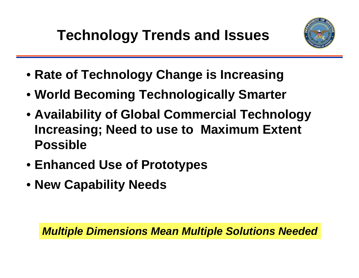

- **Rate of Technology Change is Increasing**
- **World Becoming Technologically Smarter**
- **Availability of Global Commercial Technology Increasing; Need to use to Maximum Extent Possible**
- **Enhanced Use of Prototypes**
- **New Capability Needs**

*Multiple Dimensions Mean Multiple Solutions Needed*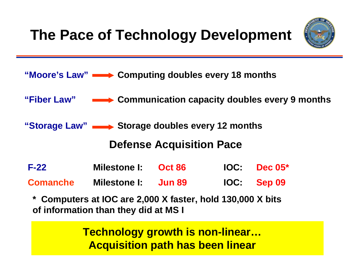# **The Pace of Technology Development**



- **"Moore's Law" Computing doubles every 18 months**
- **"Fiber Law" Communication capacity doubles every 9 months**

"Storage Law" **storage doubles every 12 months** 

#### **Defense Acquisition Pace**

- **F-22 Milestone I: Oct 86 IOC: Dec 05\*Comanche Milestone I: Jun 89 IOC: Sep 09**
	- **\* Computers at IOC are 2,000 X faster, hold 130,000 X bits of information than they did at MS I**

**Technology growth is non-linear… Acquisition path has been linear**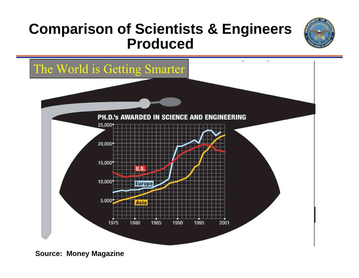#### **Comparison of Scientists & Engineers Produced**





**Source: Money Magazine**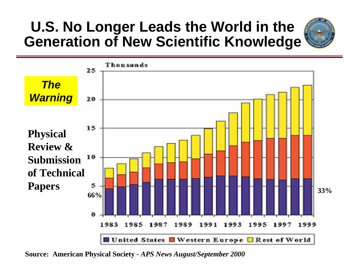#### **U.S. No Longer Leads the World in the Generation of New Scientific Knowledge**





**Source: American Physical Society** *- APS News August/September 2000*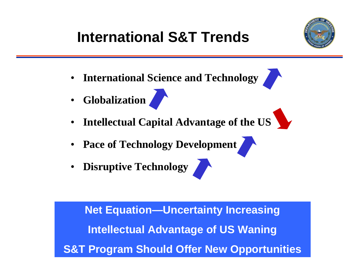# **International S&T Trends**



- **International Science and Technology**
- **Globalization**
- •**Intellectual Capital Advantage of the US**
- **Pace of Technology Development**
- **Disruptive Technology**

**Net Equation—Uncertainty Increasing Intellectual Advantage of US Waning S&T Program Should Offer New Opportunities**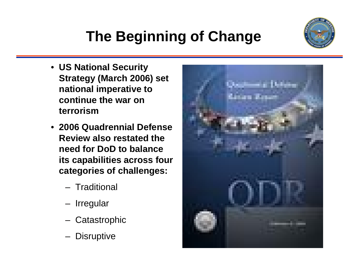# **The Beginning of Change**

- **US National Security Strategy (March 2006) set national imperative to continue the war on terrorism**
- **2006 Quadrennial Defense Review also restated the need for DoD to balance its capabilities across four categories of challenges:**
	- **Traditional**
	- **Irregular**
	- **Catastrophic**
	- **Disruptive**



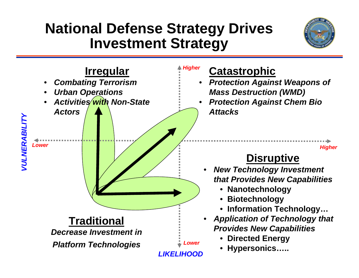#### **National Defense Strategy Drives Investment Strategy**



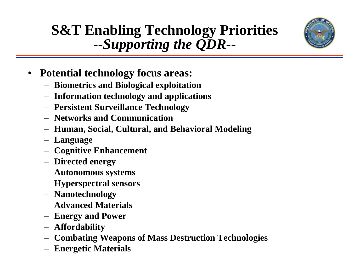### **S&T Enabling Technology Priorities**  *--Supporting the QDR--*



- **Potential technology focus areas:**
	- **Biometrics and Biological exploitation**
	- **Information technology and applications**
	- **Persistent Surveillance Technology**
	- **Networks and Communication**
	- **Human, Social, Cultural, and Behavioral Modeling**
	- **Language**
	- **Cognitive Enhancement**
	- **Directed energy**
	- **Autonomous systems**
	- **Hyperspectral sensors**
	- **Nanotechnology**
	- **Advanced Materials**
	- **Energy and Power**
	- **Affordability**
	- **Combating Weapons of Mass Destruction Technologies**
	- **Energetic Materials**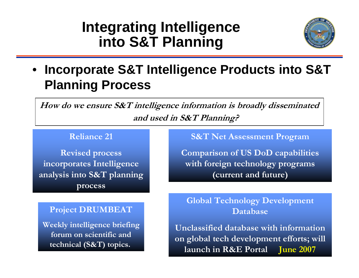#### **Integrating Intelligence into S&T Planning**



#### • **Incorporate S&T Intelligence Products into S&T Planning Process**

**How do we ensure S&T intelligence information is broadly disseminated and used in S&T Planning?**

#### **Reliance 21**

**Revised process incorporates Intelligence analysis into S&T planning process**

#### **Project DRUMBEAT**

**Weekly intelligence briefing forum on scientific and technical (S&T) topics.**

#### **S&T Net Assessment Program**

**Comparison of US DoD capabilities with foreign technology programs (current and future)**

**Global Technology Development Database**

**Unclassified database with information on global tech development efforts; will launch in R&E Portal June 2007**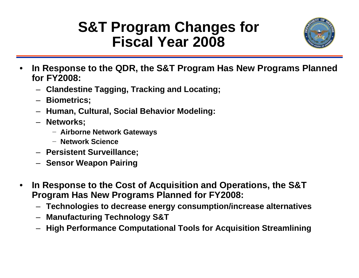### **S&T Program Changes for Fiscal Year 2008**



- **In Response to the QDR, the S&T Program Has New Programs Planned for FY2008:**
	- **Clandestine Tagging, Tracking and Locating;**
	- **Biometrics;**
	- **Human, Cultural, Social Behavior Modeling:**
	- **Networks;**
		- − **Airborne Network Gateways**
		- − **Network Science**
	- **Persistent Surveillance;**
	- **Sensor Weapon Pairing**
- **In Response to the Cost of Acquisition and Operations, the S&T Program Has New Programs Planned for FY2008:**
	- **Technologies to decrease energy consumption/increase alternatives**
	- **Manufacturing Technology S&T**
	- **High Performance Computational Tools for Acquisition Streamlining**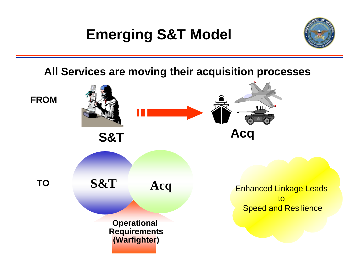# **Emerging S&T Model**



**All Services are moving their acquisition processes**

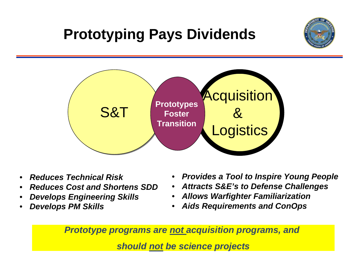# **Prototyping Pays Dividends**



- *Reduces Technical Risk*
- *Reduces Cost and Shortens SDD*
- *Develops Engineering Skills*
- *Develops PM Skills*
- *Provides a Tool to Inspire Young People*
- *Attracts S&E's to Defense Challenges*
- *Allows Warfighter Familiarization*
- *Aids Requirements and ConOps*

*Prototype programs are not acquisition programs, and* 

*should not be science projects*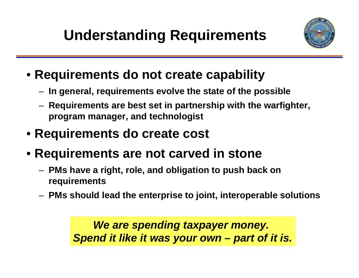# **Understanding Requirements**



- **Requirements do not create capability**
	- **In general, requirements evolve the state of the possible**
	- **Requirements are best set in partnership with the warfighter, program manager, and technologist**
- **Requirements do create cost**
- **Requirements are not carved in stone**
	- **PMs have a right, role, and obligation to push back on requirements**
	- **PMs should lead the enterprise to joint, interoperable solutions**

*We are spending taxpayer money. Spend it like it was your own – part of it is.*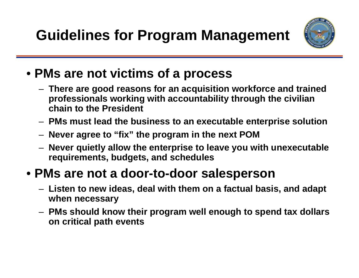**Guidelines for Program Management**



- **PMs are not victims of a process**
	- **There are good reasons for an acquisition workforce and trained professionals working with accountability through the civilian chain to the President**
	- **PMs must lead the business to an executable enterprise solution**
	- **Never agree to "fix" the program in the next POM**
	- **Never quietly allow the enterprise to leave you with unexecutable requirements, budgets, and schedules**

#### • **PMs are not a door-to-door salesperson**

- **Listen to new ideas, deal with them on a factual basis, and adapt when necessary**
- **PMs should know their program well enough to spend tax dollars on critical path events**